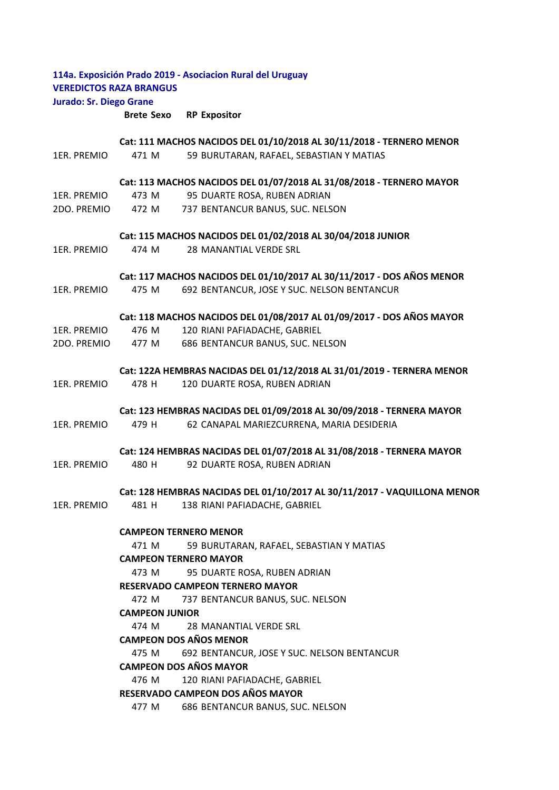## **114a. Exposición Prado 2019 ‐ Asociacion Rural del Uruguay VEREDICTOS RAZA BRANGUS Jurado: Sr. Diego Grane**

**Brete Sexo RP Expositor**

# 1ER. PREMIO 471 M 59 BURUTARAN, RAFAEL, SEBASTIAN Y MATIAS 1ER. PREMIO 473 M 95 DUARTE ROSA, RUBEN ADRIAN 2DO. PREMIO 472 M 737 BENTANCUR BANUS, SUC. NELSON 1ER. PREMIO 474 M 28 MANANTIAL VERDE SRL 1ER. PREMIO 475 M 692 BENTANCUR, JOSE Y SUC. NELSON BENTANCUR 1ER. PREMIO 476 M 120 RIANI PAFIADACHE, GABRIEL 2DO. PREMIO 477 M 686 BENTANCUR BANUS, SUC. NELSON 1ER. PREMIO 478 H 120 DUARTE ROSA, RUBEN ADRIAN 1ER. PREMIO 479 H 62 CANAPAL MARIEZCURRENA, MARIA DESIDERIA 1ER. PREMIO 480 H 92 DUARTE ROSA, RUBEN ADRIAN 1ER. PREMIO 481 H 138 RIANI PAFIADACHE, GABRIEL 471 M 59 BURUTARAN, RAFAEL, SEBASTIAN Y MATIAS 473 M 95 DUARTE ROSA, RUBEN ADRIAN 472 M 737 BENTANCUR BANUS, SUC. NELSON 474 M 28 MANANTIAL VERDE SRL 475 M 692 BENTANCUR, JOSE Y SUC. NELSON BENTANCUR 476 M 120 RIANI PAFIADACHE, GABRIEL 477 M 686 BENTANCUR BANUS, SUC. NELSON **RESERVADO CAMPEON DOS AÑOS MAYOR CAMPEON TERNERO MENOR CAMPEON TERNERO MAYOR RESERVADO CAMPEON TERNERO MAYOR CAMPEON JUNIOR CAMPEON DOS AÑOS MENOR CAMPEON DOS AÑOS MAYOR Cat: 117 MACHOS NACIDOS DEL 01/10/2017 AL 30/11/2017 ‐ DOS AÑOS MENOR Cat: 118 MACHOS NACIDOS DEL 01/08/2017 AL 01/09/2017 ‐ DOS AÑOS MAYOR Cat: 122A HEMBRAS NACIDAS DEL 01/12/2018 AL 31/01/2019 ‐ TERNERA MENOR Cat: 123 HEMBRAS NACIDAS DEL 01/09/2018 AL 30/09/2018 ‐ TERNERA MAYOR Cat: 124 HEMBRAS NACIDAS DEL 01/07/2018 AL 31/08/2018 ‐ TERNERA MAYOR Cat: 128 HEMBRAS NACIDAS DEL 01/10/2017 AL 30/11/2017 ‐ VAQUILLONA MENOR Cat: 111 MACHOS NACIDOS DEL 01/10/2018 AL 30/11/2018 ‐ TERNERO MENOR Cat: 113 MACHOS NACIDOS DEL 01/07/2018 AL 31/08/2018 ‐ TERNERO MAYOR Cat: 115 MACHOS NACIDOS DEL 01/02/2018 AL 30/04/2018 JUNIOR**